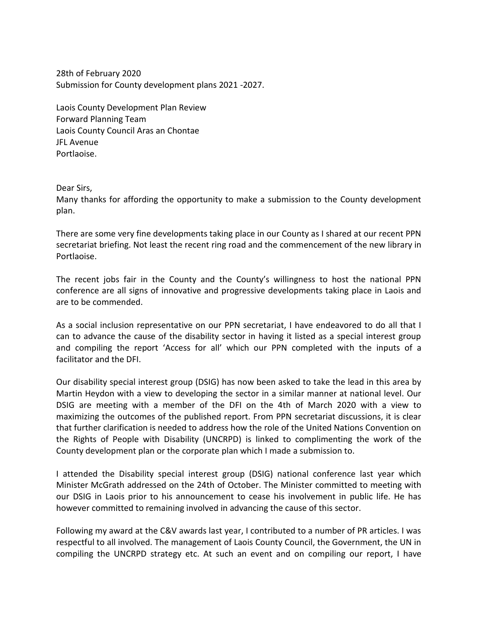28th of February 2020 Submission for County development plans 2021 -2027.

Laois County Development Plan Review Forward Planning Team Laois County Council Aras an Chontae JFL Avenue Portlaoise.

Dear Sirs,

Many thanks for affording the opportunity to make a submission to the County development plan.

There are some very fine developments taking place in our County as I shared at our recent PPN secretariat briefing. Not least the recent ring road and the commencement of the new library in Portlaoise.

The recent jobs fair in the County and the County's willingness to host the national PPN conference are all signs of innovative and progressive developments taking place in Laois and are to be commended.

As a social inclusion representative on our PPN secretariat, I have endeavored to do all that I can to advance the cause of the disability sector in having it listed as a special interest group and compiling the report 'Access for all' which our PPN completed with the inputs of a facilitator and the DFI.

Our disability special interest group (DSIG) has now been asked to take the lead in this area by Martin Heydon with a view to developing the sector in a similar manner at national level. Our DSIG are meeting with a member of the DFI on the 4th of March 2020 with a view to maximizing the outcomes of the published report. From PPN secretariat discussions, it is clear that further clarification is needed to address how the role of the United Nations Convention on the Rights of People with Disability (UNCRPD) is linked to complimenting the work of the County development plan or the corporate plan which I made a submission to.

I attended the Disability special interest group (DSIG) national conference last year which Minister McGrath addressed on the 24th of October. The Minister committed to meeting with our DSIG in Laois prior to his announcement to cease his involvement in public life. He has however committed to remaining involved in advancing the cause of this sector.

Following my award at the C&V awards last year, I contributed to a number of PR articles. I was respectful to all involved. The management of Laois County Council, the Government, the UN in compiling the UNCRPD strategy etc. At such an event and on compiling our report, I have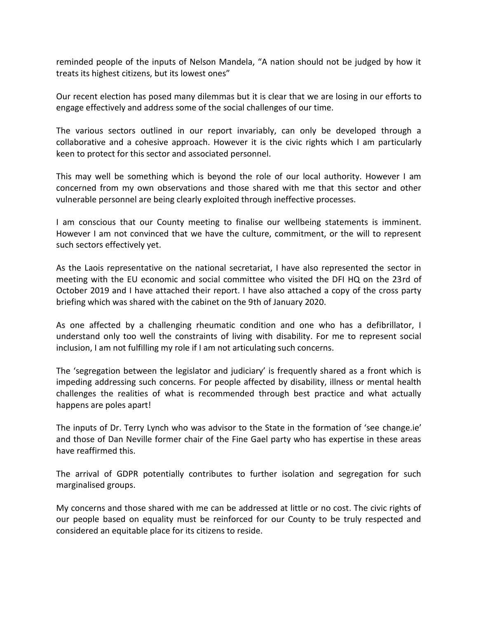reminded people of the inputs of Nelson Mandela, "A nation should not be judged by how it treats its highest citizens, but its lowest ones"

Our recent election has posed many dilemmas but it is clear that we are losing in our efforts to engage effectively and address some of the social challenges of our time.

The various sectors outlined in our report invariably, can only be developed through a collaborative and a cohesive approach. However it is the civic rights which I am particularly keen to protect for this sector and associated personnel.

This may well be something which is beyond the role of our local authority. However I am concerned from my own observations and those shared with me that this sector and other vulnerable personnel are being clearly exploited through ineffective processes.

I am conscious that our County meeting to finalise our wellbeing statements is imminent. However I am not convinced that we have the culture, commitment, or the will to represent such sectors effectively yet.

As the Laois representative on the national secretariat, I have also represented the sector in meeting with the EU economic and social committee who visited the DFI HQ on the 23rd of October 2019 and I have attached their report. I have also attached a copy of the cross party briefing which was shared with the cabinet on the 9th of January 2020.

As one affected by a challenging rheumatic condition and one who has a defibrillator, I understand only too well the constraints of living with disability. For me to represent social inclusion, I am not fulfilling my role if I am not articulating such concerns.

The 'segregation between the legislator and judiciary' is frequently shared as a front which is impeding addressing such concerns. For people affected by disability, illness or mental health challenges the realities of what is recommended through best practice and what actually happens are poles apart!

The inputs of Dr. Terry Lynch who was advisor to the State in the formation of 'see change.ie' and those of Dan Neville former chair of the Fine Gael party who has expertise in these areas have reaffirmed this.

The arrival of GDPR potentially contributes to further isolation and segregation for such marginalised groups.

My concerns and those shared with me can be addressed at little or no cost. The civic rights of our people based on equality must be reinforced for our County to be truly respected and considered an equitable place for its citizens to reside.